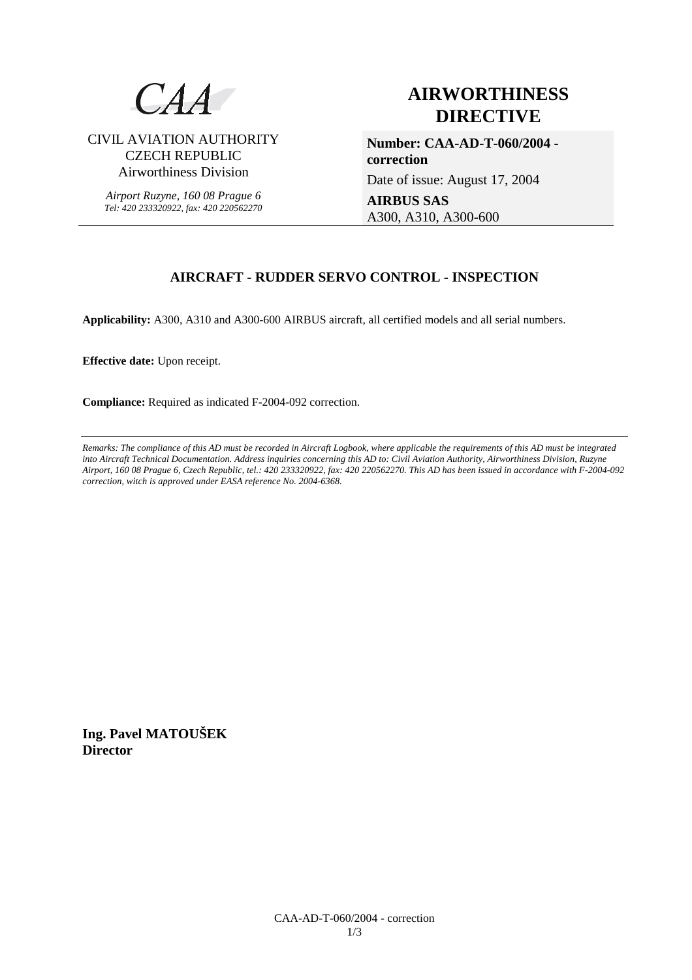

CIVIL AVIATION AUTHORITY CZECH REPUBLIC Airworthiness Division

*Airport Ruzyne, 160 08 Prague 6 Tel: 420 233320922, fax: 420 220562270*

# **AIRWORTHINESS DIRECTIVE**

**Number: CAA-AD-T-060/2004 correction**  Date of issue: August 17, 2004

**AIRBUS SAS** A300, A310, A300-600

# **AIRCRAFT - RUDDER SERVO CONTROL - INSPECTION**

**Applicability:** A300, A310 and A300-600 AIRBUS aircraft, all certified models and all serial numbers.

**Effective date:** Upon receipt.

**Compliance:** Required as indicated F-2004-092 correction.

*Remarks: The compliance of this AD must be recorded in Aircraft Logbook, where applicable the requirements of this AD must be integrated into Aircraft Technical Documentation. Address inquiries concerning this AD to: Civil Aviation Authority, Airworthiness Division, Ruzyne Airport, 160 08 Prague 6, Czech Republic, tel.: 420 233320922, fax: 420 220562270. This AD has been issued in accordance with F-2004-092 correction, witch is approved under EASA reference No. 2004-6368.* 

**Ing. Pavel MATOUŠEK Director**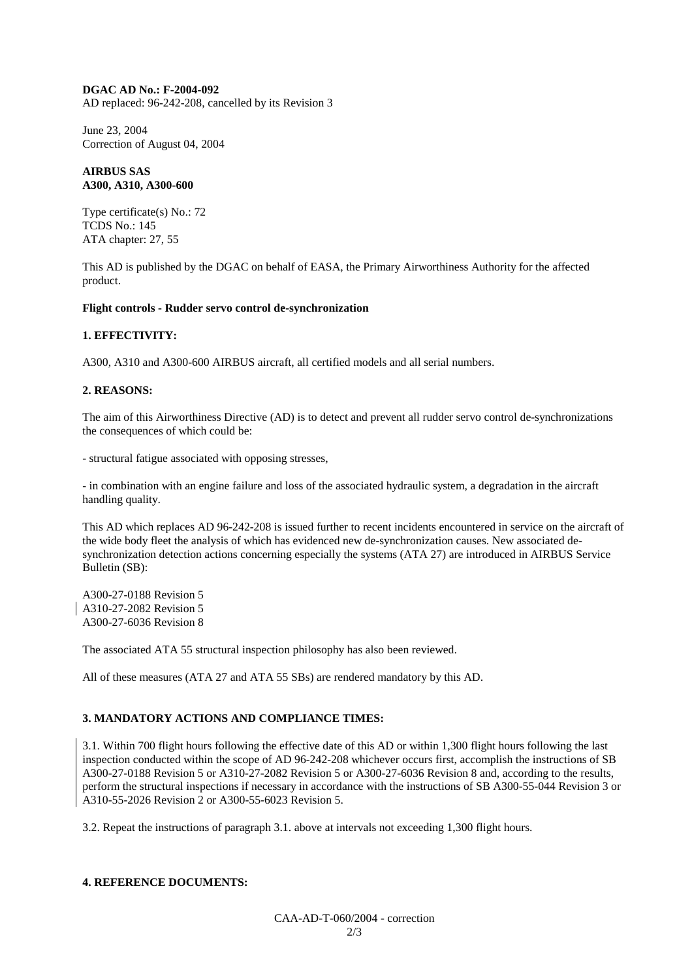#### **DGAC AD No.: F-2004-092**

AD replaced: 96-242-208, cancelled by its Revision 3

June 23, 2004 Correction of August 04, 2004

#### **AIRBUS SAS A300, A310, A300-600**

Type certificate(s) No.: 72 TCDS No.: 145 ATA chapter: 27, 55

This AD is published by the DGAC on behalf of EASA, the Primary Airworthiness Authority for the affected product.

#### **Flight controls - Rudder servo control de-synchronization**

#### **1. EFFECTIVITY:**

A300, A310 and A300-600 AIRBUS aircraft, all certified models and all serial numbers.

#### **2. REASONS:**

The aim of this Airworthiness Directive (AD) is to detect and prevent all rudder servo control de-synchronizations the consequences of which could be:

- structural fatigue associated with opposing stresses,

- in combination with an engine failure and loss of the associated hydraulic system, a degradation in the aircraft handling quality.

This AD which replaces AD 96-242-208 is issued further to recent incidents encountered in service on the aircraft of the wide body fleet the analysis of which has evidenced new de-synchronization causes. New associated desynchronization detection actions concerning especially the systems (ATA 27) are introduced in AIRBUS Service Bulletin (SB):

A300-27-0188 Revision 5 A310-27-2082 Revision 5 A300-27-6036 Revision 8

The associated ATA 55 structural inspection philosophy has also been reviewed.

All of these measures (ATA 27 and ATA 55 SBs) are rendered mandatory by this AD.

#### **3. MANDATORY ACTIONS AND COMPLIANCE TIMES:**

3.1. Within 700 flight hours following the effective date of this AD or within 1,300 flight hours following the last inspection conducted within the scope of AD 96-242-208 whichever occurs first, accomplish the instructions of SB A300-27-0188 Revision 5 or A310-27-2082 Revision 5 or A300-27-6036 Revision 8 and, according to the results, perform the structural inspections if necessary in accordance with the instructions of SB A300-55-044 Revision 3 or A310-55-2026 Revision 2 or A300-55-6023 Revision 5.

3.2. Repeat the instructions of paragraph 3.1. above at intervals not exceeding 1,300 flight hours.

#### **4. REFERENCE DOCUMENTS:**